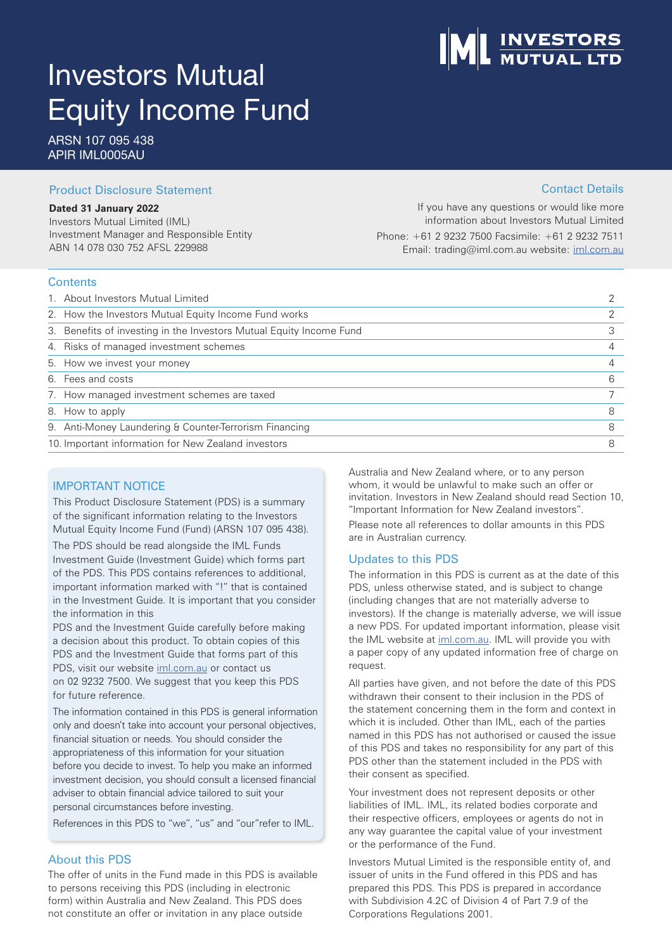# Investors Mutual Equity Income Fund

ARSN 107 095 438 APIR IML0005AU

### Product Disclosure Statement

#### **Dated 31 January 2022**

Investors Mutual Limited (IML) Investment Manager and Responsible Entity ABN 14 078 030 752 AFSL 229988

If you have any questions or would like more information about Investors Mutual Limited Phone: +61 2 9232 7500 Facsimile: +61 2 9232 7511 Email: trading@iml.com.au website: iml.com.au

#### **Contents**

| 1. About Investors Mutual Limited                                   |   |
|---------------------------------------------------------------------|---|
| 2. How the Investors Mutual Equity Income Fund works                |   |
| 3. Benefits of investing in the Investors Mutual Equity Income Fund |   |
| 4. Risks of managed investment schemes                              |   |
| 5. How we invest your money                                         |   |
| 6. Fees and costs                                                   | 6 |
| 7. How managed investment schemes are taxed                         |   |
| 8. How to apply                                                     |   |
| 9. Anti-Money Laundering & Counter-Terrorism Financing              |   |
| 10. Important information for New Zealand investors                 |   |

### IMPORTANT NOTICE

This Product Disclosure Statement (PDS) is a summary of the significant information relating to the Investors Mutual Equity Income Fund (Fund) (ARSN 107 095 438).

The PDS should be read alongside the IML Funds Investment Guide (Investment Guide) which forms part of the PDS. This PDS contains references to additional, important information marked with "!" that is contained in the Investment Guide. It is important that you consider the information in this

PDS and the Investment Guide carefully before making a decision about this product. To obtain copies of this PDS and the Investment Guide that forms part of this PDS, visit our website iml.com.au or contact us on 02 9232 7500. We suggest that you keep this PDS for future reference.

The information contained in this PDS is general information only and doesn't take into account your personal objectives, financial situation or needs. You should consider the appropriateness of this information for your situation before you decide to invest. To help you make an informed investment decision, you should consult a licensed financial adviser to obtain financial advice tailored to suit your personal circumstances before investing.

References in this PDS to "we", "us" and "our"refer to IML.

### About this PDS

The offer of units in the Fund made in this PDS is available to persons receiving this PDS (including in electronic form) within Australia and New Zealand. This PDS does not constitute an offer or invitation in any place outside

Australia and New Zealand where, or to any person whom, it would be unlawful to make such an offer or invitation. Investors in New Zealand should read Section 10, "Important Information for New Zealand investors".

Please note all references to dollar amounts in this PDS are in Australian currency.

#### Updates to this PDS

The information in this PDS is current as at the date of this PDS, unless otherwise stated, and is subject to change (including changes that are not materially adverse to investors). If the change is materially adverse, we will issue a new PDS. For updated important information, please visit the IML website at iml.com.au. IML will provide you with a paper copy of any updated information free of charge on request.

All parties have given, and not before the date of this PDS withdrawn their consent to their inclusion in the PDS of the statement concerning them in the form and context in which it is included. Other than IML, each of the parties named in this PDS has not authorised or caused the issue of this PDS and takes no responsibility for any part of this PDS other than the statement included in the PDS with their consent as specified.

Your investment does not represent deposits or other liabilities of IML. IML, its related bodies corporate and their respective officers, employees or agents do not in any way guarantee the capital value of your investment or the performance of the Fund.

Investors Mutual Limited is the responsible entity of, and issuer of units in the Fund offered in this PDS and has prepared this PDS. This PDS is prepared in accordance with Subdivision 4.2C of Division 4 of Part 7.9 of the Corporations Regulations 2001.

## Contact Details

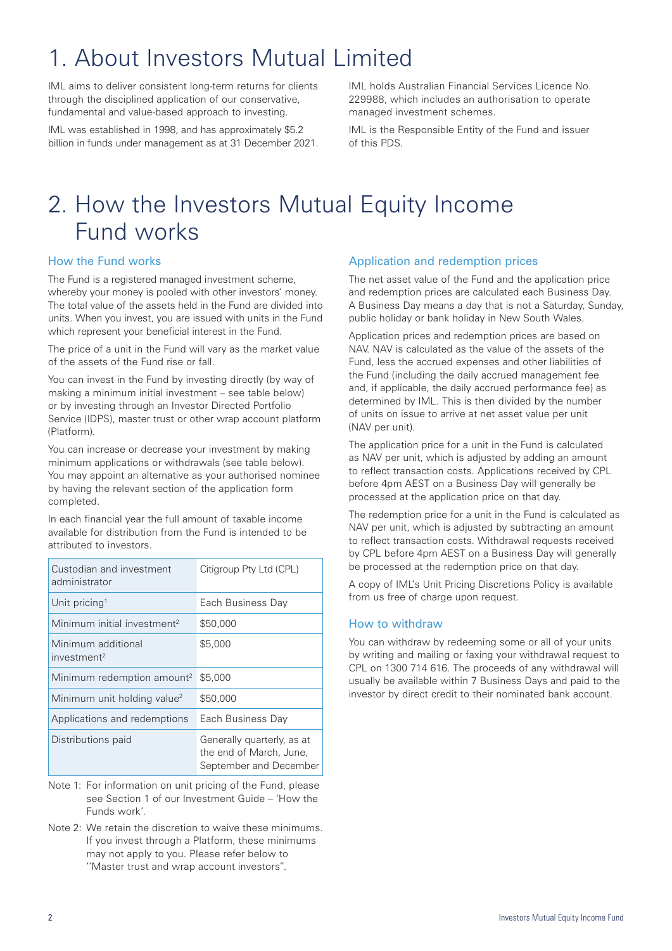## 1. About Investors Mutual Limited

IML aims to deliver consistent long-term returns for clients through the disciplined application of our conservative, fundamental and value-based approach to investing.

IML was established in 1998, and has approximately \$5.2 billion in funds under management as at 31 December 2021. IML holds Australian Financial Services Licence No. 229988, which includes an authorisation to operate managed investment schemes.

IML is the Responsible Entity of the Fund and issuer of this PDS.

## 2. How the Investors Mutual Equity Income Fund works

### How the Fund works

The Fund is a registered managed investment scheme, whereby your money is pooled with other investors' money. The total value of the assets held in the Fund are divided into units. When you invest, you are issued with units in the Fund which represent your beneficial interest in the Fund.

The price of a unit in the Fund will vary as the market value of the assets of the Fund rise or fall.

You can invest in the Fund by investing directly (by way of making a minimum initial investment – see table below) or by investing through an Investor Directed Portfolio Service (IDPS), master trust or other wrap account platform (Platform).

You can increase or decrease your investment by making minimum applications or withdrawals (see table below). You may appoint an alternative as your authorised nominee by having the relevant section of the application form completed.

In each financial year the full amount of taxable income available for distribution from the Fund is intended to be attributed to investors.

| Custodian and investment<br>administrator     | Citigroup Pty Ltd (CPL)                                                         |
|-----------------------------------------------|---------------------------------------------------------------------------------|
| Unit pricing <sup>1</sup>                     | Each Business Day                                                               |
| Minimum initial investment <sup>2</sup>       | \$50,000                                                                        |
| Minimum additional<br>investment <sup>2</sup> | \$5,000                                                                         |
| Minimum redemption amount <sup>2</sup>        | \$5,000                                                                         |
| Minimum unit holding value <sup>2</sup>       | \$50,000                                                                        |
| Applications and redemptions                  | Each Business Day                                                               |
| Distributions paid                            | Generally quarterly, as at<br>the end of March, June,<br>September and December |

- Note 1: For information on unit pricing of the Fund, please see Section 1 of our Investment Guide – 'How the Funds work'.
- Note 2: We retain the discretion to waive these minimums. If you invest through a Platform, these minimums may not apply to you. Please refer below to ''Master trust and wrap account investors".

### Application and redemption prices

The net asset value of the Fund and the application price and redemption prices are calculated each Business Day. A Business Day means a day that is not a Saturday, Sunday, public holiday or bank holiday in New South Wales.

Application prices and redemption prices are based on NAV. NAV is calculated as the value of the assets of the Fund, less the accrued expenses and other liabilities of the Fund (including the daily accrued management fee and, if applicable, the daily accrued performance fee) as determined by IML. This is then divided by the number of units on issue to arrive at net asset value per unit (NAV per unit).

The application price for a unit in the Fund is calculated as NAV per unit, which is adjusted by adding an amount to reflect transaction costs. Applications received by CPL before 4pm AEST on a Business Day will generally be processed at the application price on that day.

The redemption price for a unit in the Fund is calculated as NAV per unit, which is adjusted by subtracting an amount to reflect transaction costs. Withdrawal requests received by CPL before 4pm AEST on a Business Day will generally be processed at the redemption price on that day.

A copy of IML's Unit Pricing Discretions Policy is available from us free of charge upon request.

### How to withdraw

You can withdraw by redeeming some or all of your units by writing and mailing or faxing your withdrawal request to CPL on 1300 714 616. The proceeds of any withdrawal will usually be available within 7 Business Days and paid to the investor by direct credit to their nominated bank account.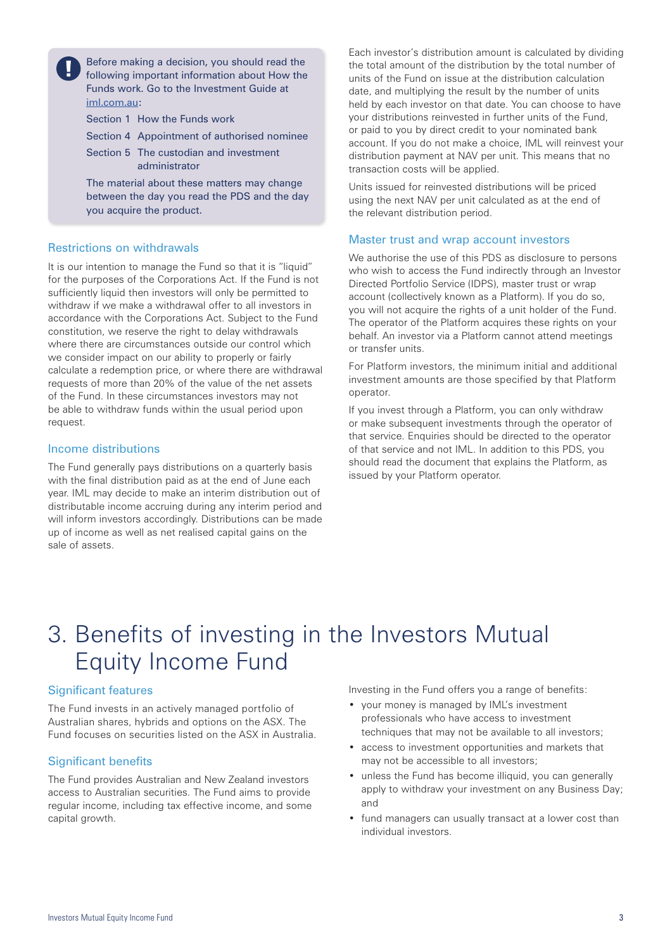Before making a decision, you should read the following important information about How the Funds work. Go to the Investment Guide at iml.com.au:

Section 1 How the Funds work

Section 4 Appointment of authorised nominee

Section 5 The custodian and investment administrator

The material about these matters may change between the day you read the PDS and the day you acquire the product.

#### Restrictions on withdrawals

It is our intention to manage the Fund so that it is "liquid" for the purposes of the Corporations Act. If the Fund is not sufficiently liquid then investors will only be permitted to withdraw if we make a withdrawal offer to all investors in accordance with the Corporations Act. Subject to the Fund constitution, we reserve the right to delay withdrawals where there are circumstances outside our control which we consider impact on our ability to properly or fairly calculate a redemption price, or where there are withdrawal requests of more than 20% of the value of the net assets of the Fund. In these circumstances investors may not be able to withdraw funds within the usual period upon request.

#### Income distributions

The Fund generally pays distributions on a quarterly basis with the final distribution paid as at the end of June each year. IML may decide to make an interim distribution out of distributable income accruing during any interim period and will inform investors accordingly. Distributions can be made up of income as well as net realised capital gains on the sale of assets.

Each investor's distribution amount is calculated by dividing the total amount of the distribution by the total number of units of the Fund on issue at the distribution calculation date, and multiplying the result by the number of units held by each investor on that date. You can choose to have your distributions reinvested in further units of the Fund, or paid to you by direct credit to your nominated bank account. If you do not make a choice, IML will reinvest your distribution payment at NAV per unit. This means that no transaction costs will be applied.

Units issued for reinvested distributions will be priced using the next NAV per unit calculated as at the end of the relevant distribution period.

#### Master trust and wrap account investors

We authorise the use of this PDS as disclosure to persons who wish to access the Fund indirectly through an Investor Directed Portfolio Service (IDPS), master trust or wrap account (collectively known as a Platform). If you do so, you will not acquire the rights of a unit holder of the Fund. The operator of the Platform acquires these rights on your behalf. An investor via a Platform cannot attend meetings or transfer units.

For Platform investors, the minimum initial and additional investment amounts are those specified by that Platform operator.

If you invest through a Platform, you can only withdraw or make subsequent investments through the operator of that service. Enquiries should be directed to the operator of that service and not IML. In addition to this PDS, you should read the document that explains the Platform, as issued by your Platform operator.

## 3. Benefits of investing in the Investors Mutual Equity Income Fund

#### Significant features

The Fund invests in an actively managed portfolio of Australian shares, hybrids and options on the ASX. The Fund focuses on securities listed on the ASX in Australia.

#### Significant benefits

The Fund provides Australian and New Zealand investors access to Australian securities. The Fund aims to provide regular income, including tax effective income, and some capital growth.

Investing in the Fund offers you a range of benefits:

- your money is managed by IML's investment professionals who have access to investment techniques that may not be available to all investors;
- access to investment opportunities and markets that may not be accessible to all investors;
- unless the Fund has become illiquid, you can generally apply to withdraw your investment on any Business Day; and
- fund managers can usually transact at a lower cost than individual investors.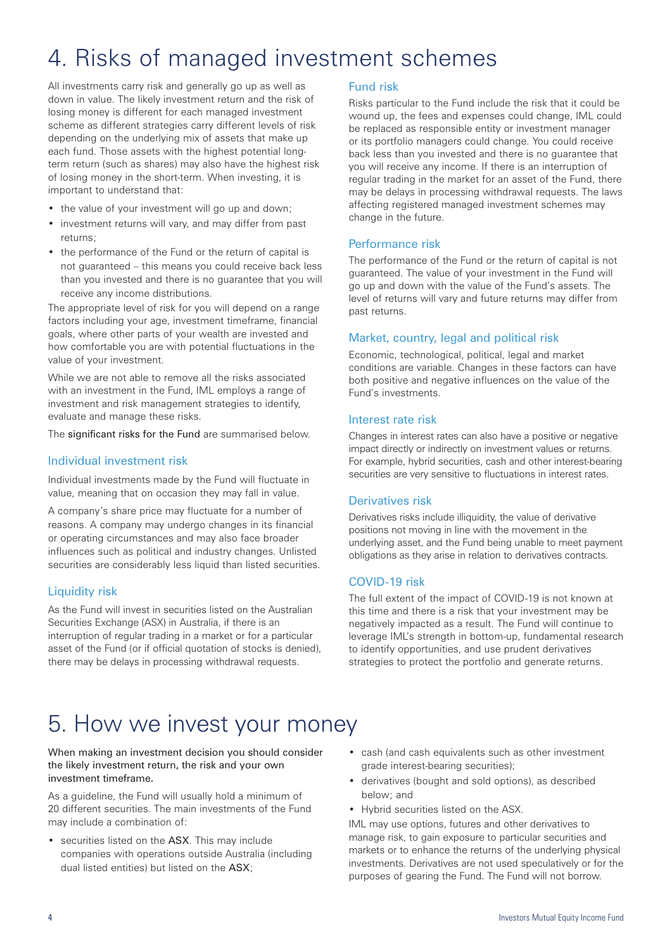## 4. Risks of managed investment schemes

All investments carry risk and generally go up as well as down in value. The likely investment return and the risk of losing money is different for each managed investment scheme as different strategies carry different levels of risk depending on the underlying mix of assets that make up each fund. Those assets with the highest potential longterm return (such as shares) may also have the highest risk of losing money in the short-term. When investing, it is important to understand that:

- the value of your investment will go up and down;
- investment returns will vary, and may differ from past returns;
- the performance of the Fund or the return of capital is not guaranteed – this means you could receive back less than you invested and there is no guarantee that you will receive any income distributions.

The appropriate level of risk for you will depend on a range factors including your age, investment timeframe, financial goals, where other parts of your wealth are invested and how comfortable you are with potential fluctuations in the value of your investment.

While we are not able to remove all the risks associated with an investment in the Fund, IML employs a range of investment and risk management strategies to identify, evaluate and manage these risks.

The significant risks for the Fund are summarised below.

### Individual investment risk

Individual investments made by the Fund will fluctuate in value, meaning that on occasion they may fall in value.

A company's share price may fluctuate for a number of reasons. A company may undergo changes in its financial or operating circumstances and may also face broader influences such as political and industry changes. Unlisted securities are considerably less liquid than listed securities.

### Liquidity risk

As the Fund will invest in securities listed on the Australian Securities Exchange (ASX) in Australia, if there is an interruption of regular trading in a market or for a particular asset of the Fund (or if official quotation of stocks is denied), there may be delays in processing withdrawal requests.

#### Fund risk

Risks particular to the Fund include the risk that it could be wound up, the fees and expenses could change, IML could be replaced as responsible entity or investment manager or its portfolio managers could change. You could receive back less than you invested and there is no guarantee that you will receive any income. If there is an interruption of regular trading in the market for an asset of the Fund, there may be delays in processing withdrawal requests. The laws affecting registered managed investment schemes may change in the future.

#### Performance risk

The performance of the Fund or the return of capital is not guaranteed. The value of your investment in the Fund will go up and down with the value of the Fund's assets. The level of returns will vary and future returns may differ from past returns.

#### Market, country, legal and political risk

Economic, technological, political, legal and market conditions are variable. Changes in these factors can have both positive and negative influences on the value of the Fund's investments.

#### Interest rate risk

Changes in interest rates can also have a positive or negative impact directly or indirectly on investment values or returns. For example, hybrid securities, cash and other interest-bearing securities are very sensitive to fluctuations in interest rates.

#### Derivatives risk

Derivatives risks include illiquidity, the value of derivative positions not moving in line with the movement in the underlying asset, and the Fund being unable to meet payment obligations as they arise in relation to derivatives contracts.

### COVID-19 risk

The full extent of the impact of COVID-19 is not known at this time and there is a risk that your investment may be negatively impacted as a result. The Fund will continue to leverage IML's strength in bottom-up, fundamental research to identify opportunities, and use prudent derivatives strategies to protect the portfolio and generate returns.

## 5. How we invest your money

#### When making an investment decision you should consider the likely investment return, the risk and your own investment timeframe.

As a guideline, the Fund will usually hold a minimum of 20 different securities. The main investments of the Fund may include a combination of:

- securities listed on the ASX. This may include companies with operations outside Australia (including dual listed entities) but listed on the ASX;
- cash (and cash equivalents such as other investment grade interest-bearing securities);
- derivatives (bought and sold options), as described below; and
- Hybrid securities listed on the ASX.

IML may use options, futures and other derivatives to manage risk, to gain exposure to particular securities and markets or to enhance the returns of the underlying physical investments. Derivatives are not used speculatively or for the purposes of gearing the Fund. The Fund will not borrow.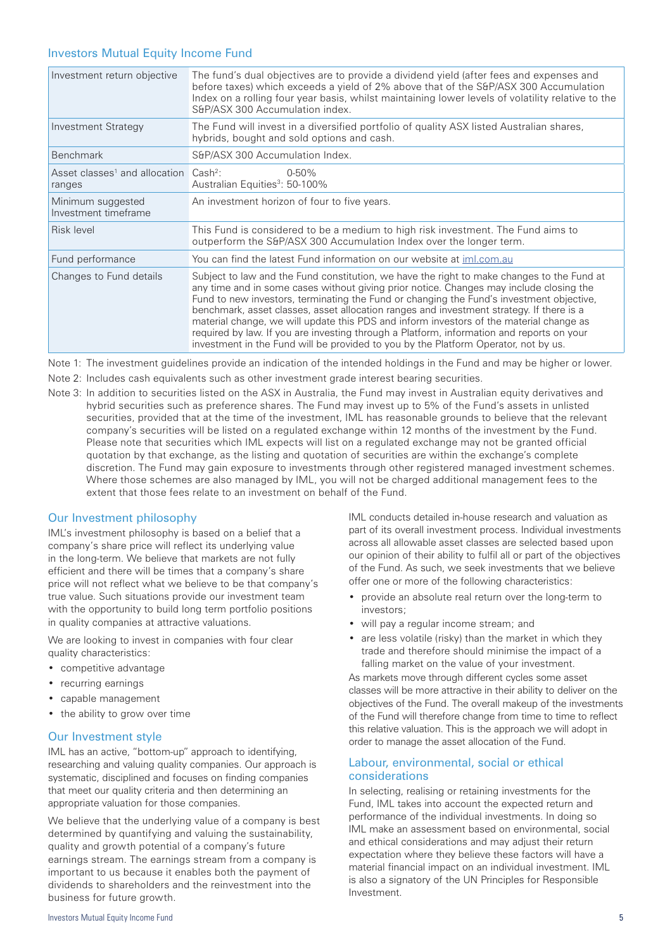#### Investors Mutual Equity Income Fund

| Investment return objective                                             | The fund's dual objectives are to provide a dividend yield (after fees and expenses and<br>before taxes) which exceeds a yield of 2% above that of the S&P/ASX 300 Accumulation<br>Index on a rolling four year basis, whilst maintaining lower levels of volatility relative to the<br>S&P/ASX 300 Accumulation index.                                                                                                                                                                                                                                                                                                                                      |
|-------------------------------------------------------------------------|--------------------------------------------------------------------------------------------------------------------------------------------------------------------------------------------------------------------------------------------------------------------------------------------------------------------------------------------------------------------------------------------------------------------------------------------------------------------------------------------------------------------------------------------------------------------------------------------------------------------------------------------------------------|
| <b>Investment Strategy</b>                                              | The Fund will invest in a diversified portfolio of quality ASX listed Australian shares,<br>hybrids, bought and sold options and cash.                                                                                                                                                                                                                                                                                                                                                                                                                                                                                                                       |
| <b>Benchmark</b>                                                        | S&P/ASX 300 Accumulation Index.                                                                                                                                                                                                                                                                                                                                                                                                                                                                                                                                                                                                                              |
| Asset classes <sup>1</sup> and allocation Cash <sup>2</sup> :<br>ranges | $0 - 50%$<br>Australian Equities <sup>3</sup> : 50-100%                                                                                                                                                                                                                                                                                                                                                                                                                                                                                                                                                                                                      |
| Minimum suggested<br>Investment timeframe                               | An investment horizon of four to five years.                                                                                                                                                                                                                                                                                                                                                                                                                                                                                                                                                                                                                 |
| Risk level                                                              | This Fund is considered to be a medium to high risk investment. The Fund aims to<br>outperform the S&P/ASX 300 Accumulation Index over the longer term.                                                                                                                                                                                                                                                                                                                                                                                                                                                                                                      |
| Fund performance                                                        | You can find the latest Fund information on our website at iml.com.au                                                                                                                                                                                                                                                                                                                                                                                                                                                                                                                                                                                        |
| Changes to Fund details                                                 | Subject to law and the Fund constitution, we have the right to make changes to the Fund at<br>any time and in some cases without giving prior notice. Changes may include closing the<br>Fund to new investors, terminating the Fund or changing the Fund's investment objective,<br>benchmark, asset classes, asset allocation ranges and investment strategy. If there is a<br>material change, we will update this PDS and inform investors of the material change as<br>required by law. If you are investing through a Platform, information and reports on your<br>investment in the Fund will be provided to you by the Platform Operator, not by us. |

Note 1: The investment guidelines provide an indication of the intended holdings in the Fund and may be higher or lower.

Note 2: Includes cash equivalents such as other investment grade interest bearing securities.

Note 3: In addition to securities listed on the ASX in Australia, the Fund may invest in Australian equity derivatives and hybrid securities such as preference shares. The Fund may invest up to 5% of the Fund's assets in unlisted securities, provided that at the time of the investment, IML has reasonable grounds to believe that the relevant company's securities will be listed on a regulated exchange within 12 months of the investment by the Fund. Please note that securities which IML expects will list on a regulated exchange may not be granted official quotation by that exchange, as the listing and quotation of securities are within the exchange's complete discretion. The Fund may gain exposure to investments through other registered managed investment schemes. Where those schemes are also managed by IML, you will not be charged additional management fees to the extent that those fees relate to an investment on behalf of the Fund.

#### Our Investment philosophy

IML's investment philosophy is based on a belief that a company's share price will reflect its underlying value in the long-term. We believe that markets are not fully efficient and there will be times that a company's share price will not reflect what we believe to be that company's true value. Such situations provide our investment team with the opportunity to build long term portfolio positions in quality companies at attractive valuations.

We are looking to invest in companies with four clear quality characteristics:

- competitive advantage
- recurring earnings
- capable management
- the ability to grow over time

#### Our Investment style

IML has an active, "bottom-up" approach to identifying, researching and valuing quality companies. Our approach is systematic, disciplined and focuses on finding companies that meet our quality criteria and then determining an appropriate valuation for those companies.

We believe that the underlying value of a company is best determined by quantifying and valuing the sustainability, quality and growth potential of a company's future earnings stream. The earnings stream from a company is important to us because it enables both the payment of dividends to shareholders and the reinvestment into the business for future growth.

IML conducts detailed in-house research and valuation as part of its overall investment process. Individual investments across all allowable asset classes are selected based upon our opinion of their ability to fulfil all or part of the objectives of the Fund. As such, we seek investments that we believe offer one or more of the following characteristics:

- provide an absolute real return over the long-term to investors;
- will pay a regular income stream; and
- are less volatile (risky) than the market in which they trade and therefore should minimise the impact of a falling market on the value of your investment.

As markets move through different cycles some asset classes will be more attractive in their ability to deliver on the objectives of the Fund. The overall makeup of the investments of the Fund will therefore change from time to time to reflect this relative valuation. This is the approach we will adopt in order to manage the asset allocation of the Fund.

#### Labour, environmental, social or ethical considerations

In selecting, realising or retaining investments for the Fund, IML takes into account the expected return and performance of the individual investments. In doing so IML make an assessment based on environmental, social and ethical considerations and may adjust their return expectation where they believe these factors will have a material financial impact on an individual investment. IML is also a signatory of the UN Principles for Responsible Investment.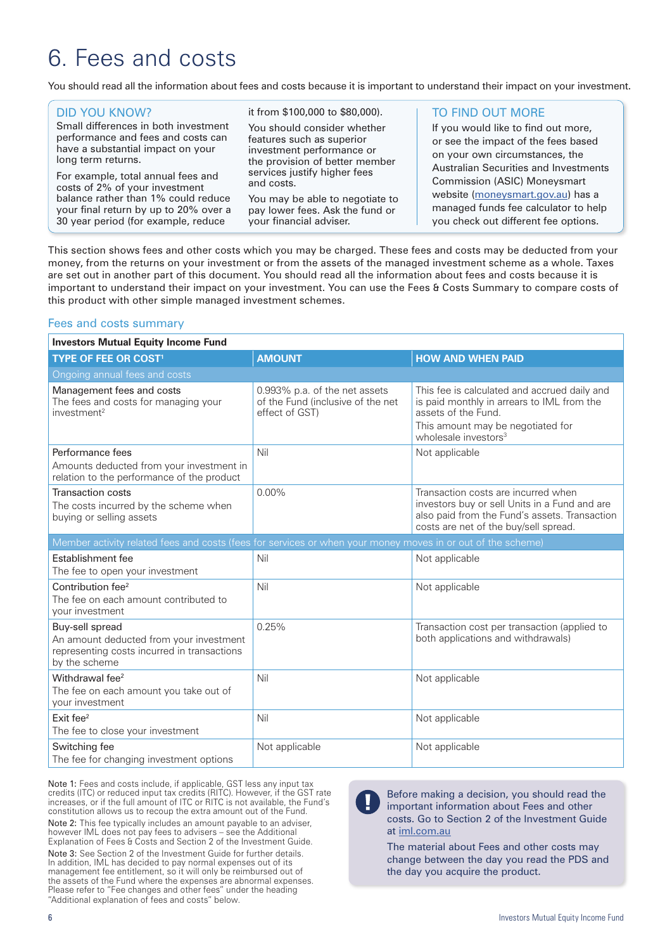## 6. Fees and costs

You should read all the information about fees and costs because it is important to understand their impact on your investment.

| <b>DID YOU KNOW?</b><br>Small differences in both investment<br>performance and fees and costs can<br>have a substantial impact on your<br>long term returns.<br>For example, total annual fees and<br>costs of 2% of your investment<br>balance rather than 1% could reduce<br>your final return by up to 20% over a<br>30 year period (for example, reduce | it from \$100,000 to \$80,000).<br>You should consider whether<br>features such as superior<br>investment performance or<br>the provision of better member<br>services justify higher fees<br>and costs.<br>You may be able to negotiate to<br>pay lower fees. Ask the fund or<br>your financial adviser. | <b>TO FIND OUT MORE</b><br>If you would like to find out more,<br>or see the impact of the fees based<br>on your own circumstances, the<br>Australian Securities and Investments<br>Commission (ASIC) Moneysmart<br>website (moneysmart.gov.au) has a<br>managed funds fee calculator to help<br>you check out different fee options. |
|--------------------------------------------------------------------------------------------------------------------------------------------------------------------------------------------------------------------------------------------------------------------------------------------------------------------------------------------------------------|-----------------------------------------------------------------------------------------------------------------------------------------------------------------------------------------------------------------------------------------------------------------------------------------------------------|---------------------------------------------------------------------------------------------------------------------------------------------------------------------------------------------------------------------------------------------------------------------------------------------------------------------------------------|
|                                                                                                                                                                                                                                                                                                                                                              |                                                                                                                                                                                                                                                                                                           |                                                                                                                                                                                                                                                                                                                                       |

This section shows fees and other costs which you may be charged. These fees and costs may be deducted from your money, from the returns on your investment or from the assets of the managed investment scheme as a whole. Taxes are set out in another part of this document. You should read all the information about fees and costs because it is important to understand their impact on your investment. You can use the Fees & Costs Summary to compare costs of this product with other simple managed investment schemes.

#### Fees and costs summary

| <b>Investors Mutual Equity Income Fund</b>                                                                                 |                                                                                      |                                                                                                                                                                                            |  |
|----------------------------------------------------------------------------------------------------------------------------|--------------------------------------------------------------------------------------|--------------------------------------------------------------------------------------------------------------------------------------------------------------------------------------------|--|
| <b>TYPE OF FEE OR COST<sup>1</sup></b>                                                                                     | <b>AMOUNT</b>                                                                        | <b>HOW AND WHEN PAID</b>                                                                                                                                                                   |  |
| Ongoing annual fees and costs                                                                                              |                                                                                      |                                                                                                                                                                                            |  |
| Management fees and costs<br>The fees and costs for managing your<br>investment <sup>2</sup>                               | 0.993% p.a. of the net assets<br>of the Fund (inclusive of the net<br>effect of GST) | This fee is calculated and accrued daily and<br>is paid monthly in arrears to IML from the<br>assets of the Fund.<br>This amount may be negotiated for<br>wholesale investors <sup>3</sup> |  |
| Performance fees<br>Amounts deducted from your investment in<br>relation to the performance of the product                 | Nil                                                                                  | Not applicable                                                                                                                                                                             |  |
| <b>Transaction costs</b><br>The costs incurred by the scheme when<br>buying or selling assets                              | $0.00\%$                                                                             | Transaction costs are incurred when<br>investors buy or sell Units in a Fund and are<br>also paid from the Fund's assets. Transaction<br>costs are net of the buy/sell spread.             |  |
| Member activity related fees and costs (fees for services or when your money moves in or out of the scheme)                |                                                                                      |                                                                                                                                                                                            |  |
| Establishment fee<br>The fee to open your investment                                                                       | Nil                                                                                  | Not applicable                                                                                                                                                                             |  |
| Contribution fee <sup>2</sup><br>The fee on each amount contributed to<br>your investment                                  | Nil                                                                                  | Not applicable                                                                                                                                                                             |  |
| Buy-sell spread<br>An amount deducted from your investment<br>representing costs incurred in transactions<br>by the scheme | 0.25%                                                                                | Transaction cost per transaction (applied to<br>both applications and withdrawals)                                                                                                         |  |
| Withdrawal fee <sup>2</sup><br>The fee on each amount you take out of<br>your investment                                   | Nil                                                                                  | Not applicable                                                                                                                                                                             |  |
| Exit fee <sup>2</sup><br>The fee to close your investment                                                                  | Nil                                                                                  | Not applicable                                                                                                                                                                             |  |
| Switching fee<br>The fee for changing investment options                                                                   | Not applicable                                                                       | Not applicable                                                                                                                                                                             |  |

Note 1: Fees and costs include, if applicable, GST less any input tax credits (ITC) or reduced input tax credits (RITC). However, if the GST rate increases, or if the full amount of ITC or RITC is not available, the Fund's constitution allows us to recoup the extra amount out of the Fund. Note 2: This fee typically includes an amount payable to an adviser, however IML does not pay fees to advisers – see the Additional Explanation of Fees & Costs and Section 2 of the Investment Guide.

Note 3: See Section 2 of the Investment Guide for further details. In addition, IML has decided to pay normal expenses out of its management fee entitlement, so it will only be reimbursed out of the assets of the Fund where the expenses are abnormal expenses. Please refer to "Fee changes and other fees" under the heading "Additional explanation of fees and costs" below.

Before making a decision, you should read the important information about Fees and other costs. Go to Section 2 of the Investment Guide at iml.com.au

The material about Fees and other costs may change between the day you read the PDS and the day you acquire the product.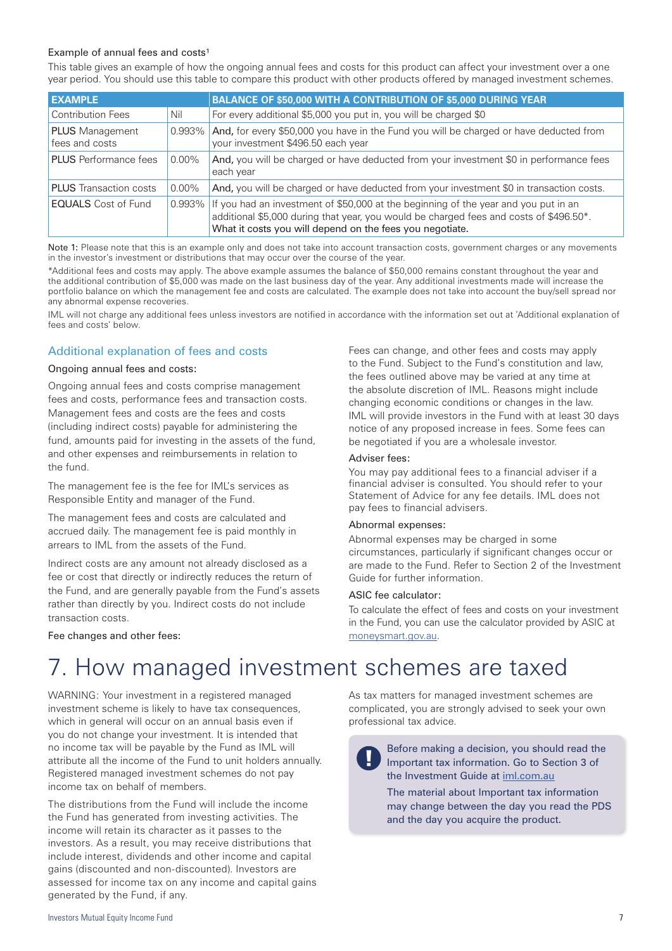#### Example of annual fees and costs<sup>1</sup>

This table gives an example of how the ongoing annual fees and costs for this product can affect your investment over a one year period. You should use this table to compare this product with other products offered by managed investment schemes.

| <b>EXAMPLE</b>                           |           | BALANCE OF \$50,000 WITH A CONTRIBUTION OF \$5,000 DURING YEAR                                                                                                                                                                            |
|------------------------------------------|-----------|-------------------------------------------------------------------------------------------------------------------------------------------------------------------------------------------------------------------------------------------|
|                                          |           |                                                                                                                                                                                                                                           |
| <b>Contribution Fees</b>                 | Nil       | For every additional \$5,000 you put in, you will be charged \$0                                                                                                                                                                          |
| <b>PLUS</b> Management<br>fees and costs | 0.993%    | And, for every \$50,000 you have in the Fund you will be charged or have deducted from<br>your investment \$496.50 each year                                                                                                              |
| <b>PLUS</b> Performance fees             | $0.00\%$  | And, you will be charged or have deducted from your investment \$0 in performance fees<br>each year                                                                                                                                       |
| <b>PLUS</b> Transaction costs            | $0.00\%$  | And, you will be charged or have deducted from your investment \$0 in transaction costs.                                                                                                                                                  |
| <b>EQUALS</b> Cost of Fund               | $0.993\%$ | If you had an investment of \$50,000 at the beginning of the year and you put in an<br>additional \$5,000 during that year, you would be charged fees and costs of \$496.50*.<br>What it costs you will depend on the fees you negotiate. |

Note 1: Please note that this is an example only and does not take into account transaction costs, government charges or any movements in the investor's investment or distributions that may occur over the course of the year.

\*Additional fees and costs may apply. The above example assumes the balance of \$50,000 remains constant throughout the year and the additional contribution of \$5,000 was made on the last business day of the year. Any additional investments made will increase the portfolio balance on which the management fee and costs are calculated. The example does not take into account the buy/sell spread nor any abnormal expense recoveries.

IML will not charge any additional fees unless investors are notified in accordance with the information set out at 'Additional explanation of fees and costs' below.

#### Additional explanation of fees and costs

#### Ongoing annual fees and costs:

Ongoing annual fees and costs comprise management fees and costs, performance fees and transaction costs. Management fees and costs are the fees and costs (including indirect costs) payable for administering the fund, amounts paid for investing in the assets of the fund, and other expenses and reimbursements in relation to the fund.

The management fee is the fee for IML's services as Responsible Entity and manager of the Fund.

The management fees and costs are calculated and accrued daily. The management fee is paid monthly in arrears to IML from the assets of the Fund.

Indirect costs are any amount not already disclosed as a fee or cost that directly or indirectly reduces the return of the Fund, and are generally payable from the Fund's assets rather than directly by you. Indirect costs do not include transaction costs.

Fees can change, and other fees and costs may apply to the Fund. Subject to the Fund's constitution and law, the fees outlined above may be varied at any time at the absolute discretion of IML. Reasons might include changing economic conditions or changes in the law. IML will provide investors in the Fund with at least 30 days notice of any proposed increase in fees. Some fees can be negotiated if you are a wholesale investor.

#### Adviser fees:

You may pay additional fees to a financial adviser if a financial adviser is consulted. You should refer to your Statement of Advice for any fee details. IML does not pay fees to financial advisers.

#### Abnormal expenses:

Abnormal expenses may be charged in some circumstances, particularly if significant changes occur or are made to the Fund. Refer to Section 2 of the Investment Guide for further information.

#### ASIC fee calculator:

To calculate the effect of fees and costs on your investment in the Fund, you can use the calculator provided by ASIC at moneysmart.gov.au.

#### Fee changes and other fees:

## 7. How managed investment schemes are taxed

WARNING: Your investment in a registered managed investment scheme is likely to have tax consequences, which in general will occur on an annual basis even if you do not change your investment. It is intended that no income tax will be payable by the Fund as IML will attribute all the income of the Fund to unit holders annually. Registered managed investment schemes do not pay income tax on behalf of members.

The distributions from the Fund will include the income the Fund has generated from investing activities. The income will retain its character as it passes to the investors. As a result, you may receive distributions that include interest, dividends and other income and capital gains (discounted and non-discounted). Investors are assessed for income tax on any income and capital gains generated by the Fund, if any.

As tax matters for managed investment schemes are complicated, you are strongly advised to seek your own professional tax advice.

Before making a decision, you should read the Important tax information. Go to Section 3 of the Investment Guide at iml.com.au The material about Important tax information may change between the day you read the PDS and the day you acquire the product.